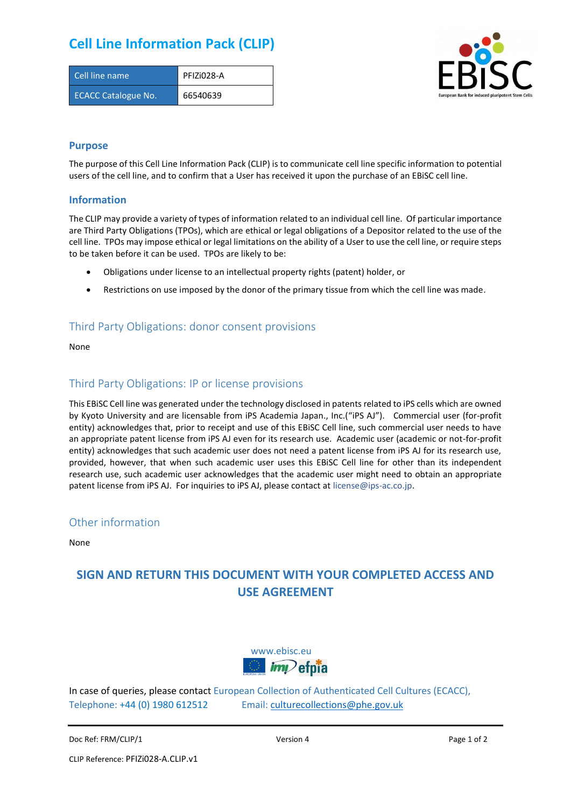## **Cell Line Information Pack (CLIP)**

| Cell line name             | PFIZI028-A |
|----------------------------|------------|
| <b>ECACC Catalogue No.</b> | 66540639   |



#### **Purpose**

The purpose of this Cell Line Information Pack (CLIP) is to communicate cell line specific information to potential users of the cell line, and to confirm that a User has received it upon the purchase of an EBiSC cell line.

#### **Information**

The CLIP may provide a variety of types of information related to an individual cell line. Of particular importance are Third Party Obligations (TPOs), which are ethical or legal obligations of a Depositor related to the use of the cell line. TPOs may impose ethical or legal limitations on the ability of a User to use the cell line, or require steps to be taken before it can be used. TPOs are likely to be:

- Obligations under license to an intellectual property rights (patent) holder, or
- Restrictions on use imposed by the donor of the primary tissue from which the cell line was made.

#### Third Party Obligations: donor consent provisions

None

#### Third Party Obligations: IP or license provisions

This EBiSC Cell line was generated under the technology disclosed in patents related to iPS cells which are owned by Kyoto University and are licensable from iPS Academia Japan., Inc.("iPS AJ"). Commercial user (for-profit entity) acknowledges that, prior to receipt and use of this EBiSC Cell line, such commercial user needs to have an appropriate patent license from iPS AJ even for its research use. Academic user (academic or not-for-profit entity) acknowledges that such academic user does not need a patent license from iPS AJ for its research use, provided, however, that when such academic user uses this EBiSC Cell line for other than its independent research use, such academic user acknowledges that the academic user might need to obtain an appropriate patent license from iPS AJ. For inquiries to iPS AJ, please contact at [license@ips-ac.co.jp.](mailto:license@ips-ac.co.jp)

#### Other information

None

### **SIGN AND RETURN THIS DOCUMENT WITH YOUR COMPLETED ACCESS AND USE AGREEMENT**



In case of queries, please contact European Collection of Authenticated Cell Cultures (ECACC), Telephone: +44 (0) 1980 612512 Email: [culturecollections@phe.gov.uk](mailto:culturecollections@phe.gov.uk)

Doc Ref: FRM/CLIP/1 **Doce Ref: FRM/CLIP/1** Page 1 of 2